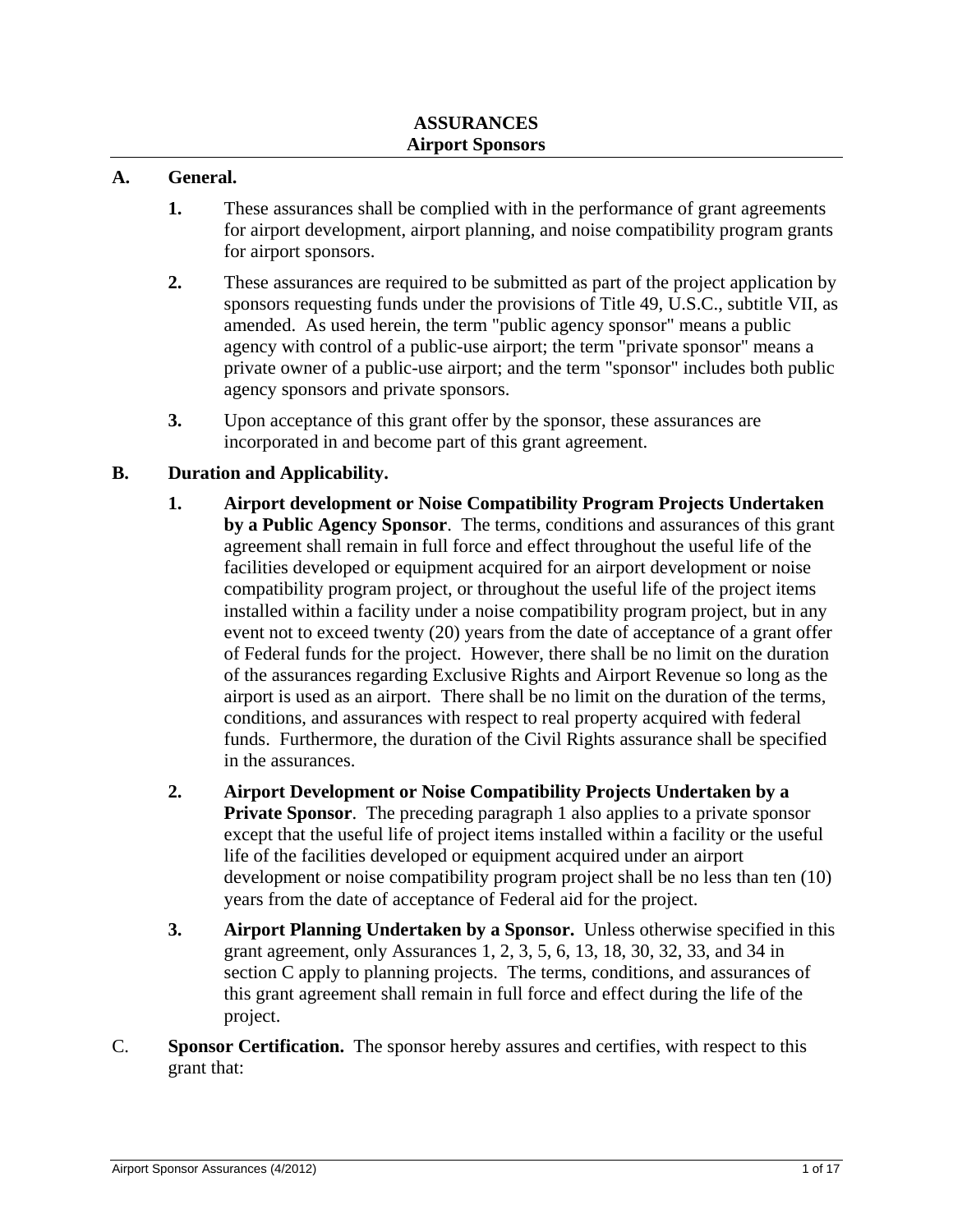#### **A. General.**

- **1.** These assurances shall be complied with in the performance of grant agreements for airport development, airport planning, and noise compatibility program grants for airport sponsors.
- **2.** These assurances are required to be submitted as part of the project application by sponsors requesting funds under the provisions of Title 49, U.S.C., subtitle VII, as amended. As used herein, the term "public agency sponsor" means a public agency with control of a public-use airport; the term "private sponsor" means a private owner of a public-use airport; and the term "sponsor" includes both public agency sponsors and private sponsors.
- **3.** Upon acceptance of this grant offer by the sponsor, these assurances are incorporated in and become part of this grant agreement.

#### **B. Duration and Applicability.**

- **1. Airport development or Noise Compatibility Program Projects Undertaken by a Public Agency Sponsor**. The terms, conditions and assurances of this grant agreement shall remain in full force and effect throughout the useful life of the facilities developed or equipment acquired for an airport development or noise compatibility program project, or throughout the useful life of the project items installed within a facility under a noise compatibility program project, but in any event not to exceed twenty (20) years from the date of acceptance of a grant offer of Federal funds for the project. However, there shall be no limit on the duration of the assurances regarding Exclusive Rights and Airport Revenue so long as the airport is used as an airport. There shall be no limit on the duration of the terms, conditions, and assurances with respect to real property acquired with federal funds. Furthermore, the duration of the Civil Rights assurance shall be specified in the assurances.
- **2. Airport Development or Noise Compatibility Projects Undertaken by a Private Sponsor**. The preceding paragraph 1 also applies to a private sponsor except that the useful life of project items installed within a facility or the useful life of the facilities developed or equipment acquired under an airport development or noise compatibility program project shall be no less than ten (10) years from the date of acceptance of Federal aid for the project.
- **3. Airport Planning Undertaken by a Sponsor.** Unless otherwise specified in this grant agreement, only Assurances 1, 2, 3, 5, 6, 13, 18, 30, 32, 33, and 34 in section C apply to planning projects. The terms, conditions, and assurances of this grant agreement shall remain in full force and effect during the life of the project.
- C. **Sponsor Certification.** The sponsor hereby assures and certifies, with respect to this grant that: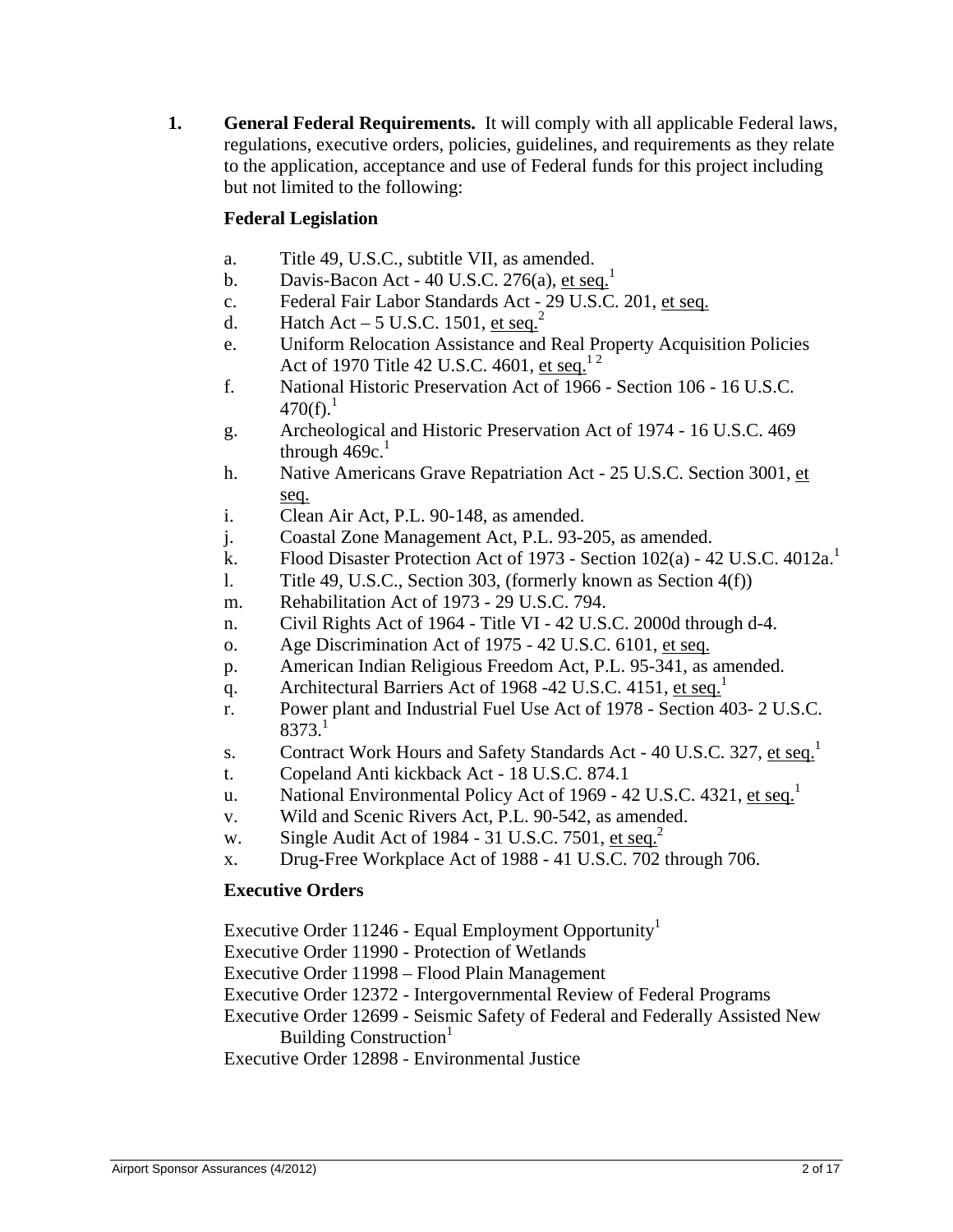**1. General Federal Requirements.** It will comply with all applicable Federal laws, regulations, executive orders, policies, guidelines, and requirements as they relate to the application, acceptance and use of Federal funds for this project including but not limited to the following:

# **Federal Legislation**

- a. Title 49, U.S.C., subtitle VII, as amended.
- b. Davis-Bacon Act 40 U.S.C.  $276(a)$ , et seq.<sup>1</sup>
- c. Federal Fair Labor Standards Act 29 U.S.C. 201, et seq.
- d. Hatch Act 5 U.S.C. 1501, et seq.<sup>2</sup>
- e. Uniform Relocation Assistance and Real Property Acquisition Policies Act of 1970 Title 42 U.S.C. 4601, et seq.<sup>12</sup>
- f. National Historic Preservation Act of 1966 Section 106 16 U.S.C.  $470(f)^1$ .
- g. Archeological and Historic Preservation Act of 1974 16 U.S.C. 469 through  $469c<sup>1</sup>$
- h. Native Americans Grave Repatriation Act 25 U.S.C. Section 3001, et seq.
- i. Clean Air Act, P.L. 90-148, as amended.
- j. Coastal Zone Management Act, P.L. 93-205, as amended.
- k. Flood Disaster Protection Act of 1973 Section  $102(a)$  42 U.S.C. 4012a.<sup>1</sup>
- l. Title 49, U.S.C., Section 303, (formerly known as Section 4(f))
- m. Rehabilitation Act of 1973 29 U.S.C. 794.
- n. Civil Rights Act of 1964 Title VI 42 U.S.C. 2000d through d-4.
- o. Age Discrimination Act of 1975 42 U.S.C. 6101, et seq.
- p. American Indian Religious Freedom Act, P.L. 95-341, as amended.
- q. Architectural Barriers Act of 1968 -42 U.S.C. 4151, et seq.<sup>1</sup>
- r. Power plant and Industrial Fuel Use Act of 1978 Section 403- 2 U.S.C.  $8373.<sup>1</sup>$
- s. Contract Work Hours and Safety Standards Act 40 U.S.C. 327, et seq.<sup>1</sup>
- t. Copeland Anti kickback Act 18 U.S.C. 874.1
- u. National Environmental Policy Act of 1969 42 U.S.C. 4321, et seq.<sup>1</sup>
- v. Wild and Scenic Rivers Act, P.L. 90-542, as amended.
- w. Single Audit Act of 1984 31 U.S.C. 7501, et seq.<sup>2</sup>
- x. Drug-Free Workplace Act of 1988 41 U.S.C. 702 through 706.

# **Executive Orders**

Executive Order  $11246$  - Equal Employment Opportunity<sup>1</sup>

- Executive Order 11990 Protection of Wetlands
- Executive Order 11998 Flood Plain Management
- Executive Order 12372 Intergovernmental Review of Federal Programs
- Executive Order 12699 Seismic Safety of Federal and Federally Assisted New Building Construction<sup>1</sup>

Executive Order 12898 - Environmental Justice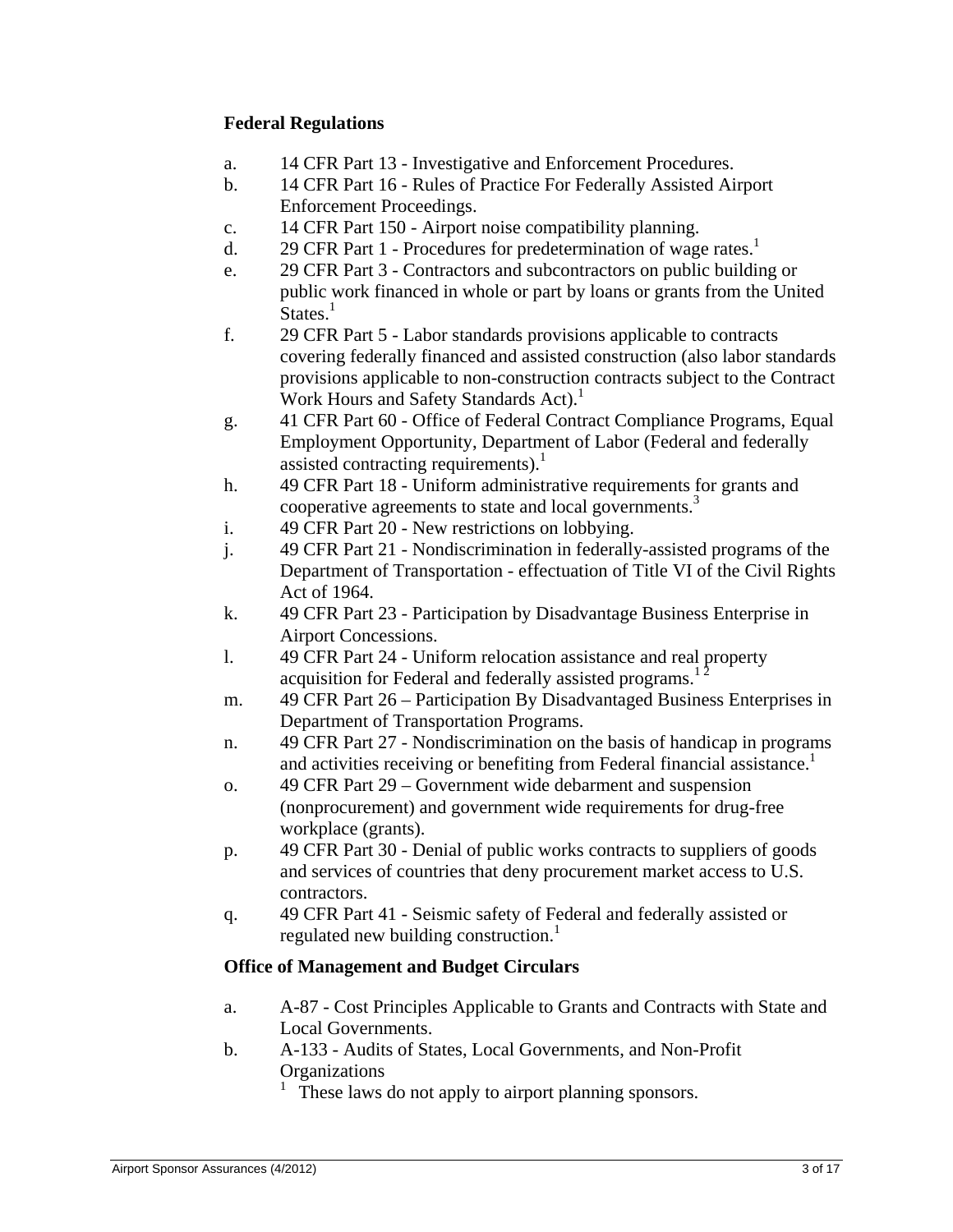## **Federal Regulations**

- a. 14 CFR Part 13 Investigative and Enforcement Procedures.
- b. 14 CFR Part 16 Rules of Practice For Federally Assisted Airport Enforcement Proceedings.
- c. 14 CFR Part 150 Airport noise compatibility planning.
- d. 29 CFR Part 1 Procedures for predetermination of wage rates.<sup>1</sup>
- e. 29 CFR Part 3 Contractors and subcontractors on public building or public work financed in whole or part by loans or grants from the United  $States<sup>1</sup>$
- f. 29 CFR Part 5 Labor standards provisions applicable to contracts covering federally financed and assisted construction (also labor standards provisions applicable to non-construction contracts subject to the Contract Work Hours and Safety Standards Act).
- g. 41 CFR Part 60 Office of Federal Contract Compliance Programs, Equal Employment Opportunity, Department of Labor (Federal and federally assisted contracting requirements).<sup>1</sup>
- h. 49 CFR Part 18 Uniform administrative requirements for grants and cooperative agreements to state and local governments.<sup>3</sup>
- i. 49 CFR Part 20 New restrictions on lobbying.
- j. 49 CFR Part 21 Nondiscrimination in federally-assisted programs of the Department of Transportation - effectuation of Title VI of the Civil Rights Act of 1964.
- k. 49 CFR Part 23 Participation by Disadvantage Business Enterprise in Airport Concessions.
- l. 49 CFR Part 24 Uniform relocation assistance and real property acquisition for Federal and federally assisted programs.<sup>1</sup>
- m. 49 CFR Part 26 Participation By Disadvantaged Business Enterprises in Department of Transportation Programs.
- n. 49 CFR Part 27 Nondiscrimination on the basis of handicap in programs and activities receiving or benefiting from Federal financial assistance.<sup>1</sup>
- o. 49 CFR Part 29 Government wide debarment and suspension (nonprocurement) and government wide requirements for drug-free workplace (grants).
- p. 49 CFR Part 30 Denial of public works contracts to suppliers of goods and services of countries that deny procurement market access to U.S. contractors.
- q. 49 CFR Part 41 Seismic safety of Federal and federally assisted or regulated new building construction. $\frac{1}{1}$

# **Office of Management and Budget Circulars**

- a. A-87 Cost Principles Applicable to Grants and Contracts with State and Local Governments.
- b. A-133 Audits of States, Local Governments, and Non-Profit **Organizations** 
	- These laws do not apply to airport planning sponsors.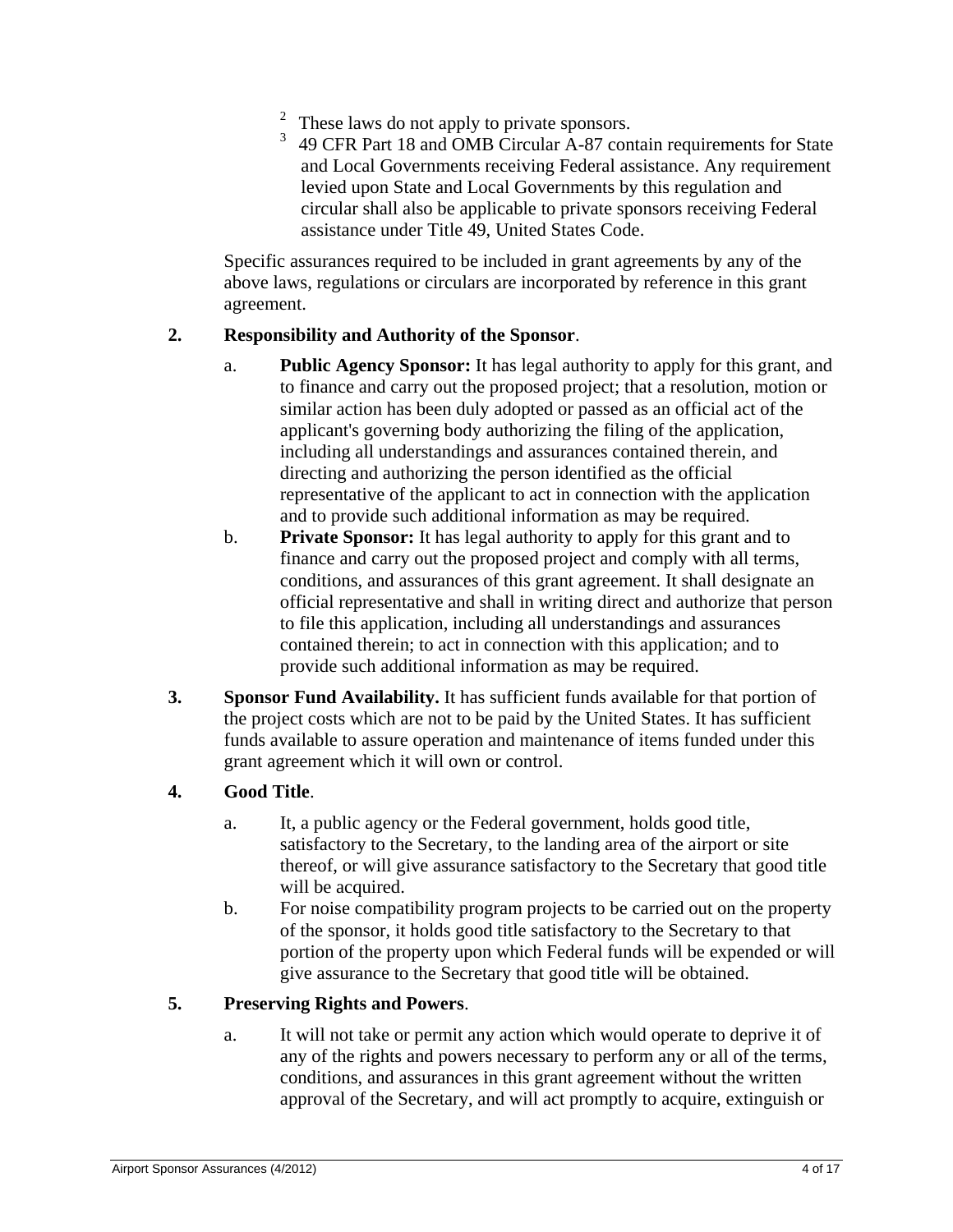- <sup>2</sup> These laws do not apply to private sponsors.<br><sup>3</sup> 40 CEP Port 18 and OMP Circular A. 87, 200
- 3 49 CFR Part 18 and OMB Circular A-87 contain requirements for State and Local Governments receiving Federal assistance. Any requirement levied upon State and Local Governments by this regulation and circular shall also be applicable to private sponsors receiving Federal assistance under Title 49, United States Code.

Specific assurances required to be included in grant agreements by any of the above laws, regulations or circulars are incorporated by reference in this grant agreement.

### **2. Responsibility and Authority of the Sponsor**.

- a. **Public Agency Sponsor:** It has legal authority to apply for this grant, and to finance and carry out the proposed project; that a resolution, motion or similar action has been duly adopted or passed as an official act of the applicant's governing body authorizing the filing of the application, including all understandings and assurances contained therein, and directing and authorizing the person identified as the official representative of the applicant to act in connection with the application and to provide such additional information as may be required.
- b. **Private Sponsor:** It has legal authority to apply for this grant and to finance and carry out the proposed project and comply with all terms, conditions, and assurances of this grant agreement. It shall designate an official representative and shall in writing direct and authorize that person to file this application, including all understandings and assurances contained therein; to act in connection with this application; and to provide such additional information as may be required.
- **3. Sponsor Fund Availability.** It has sufficient funds available for that portion of the project costs which are not to be paid by the United States. It has sufficient funds available to assure operation and maintenance of items funded under this grant agreement which it will own or control.

### **4. Good Title**.

- a. It, a public agency or the Federal government, holds good title, satisfactory to the Secretary, to the landing area of the airport or site thereof, or will give assurance satisfactory to the Secretary that good title will be acquired.
- b. For noise compatibility program projects to be carried out on the property of the sponsor, it holds good title satisfactory to the Secretary to that portion of the property upon which Federal funds will be expended or will give assurance to the Secretary that good title will be obtained.

### **5. Preserving Rights and Powers**.

a. It will not take or permit any action which would operate to deprive it of any of the rights and powers necessary to perform any or all of the terms, conditions, and assurances in this grant agreement without the written approval of the Secretary, and will act promptly to acquire, extinguish or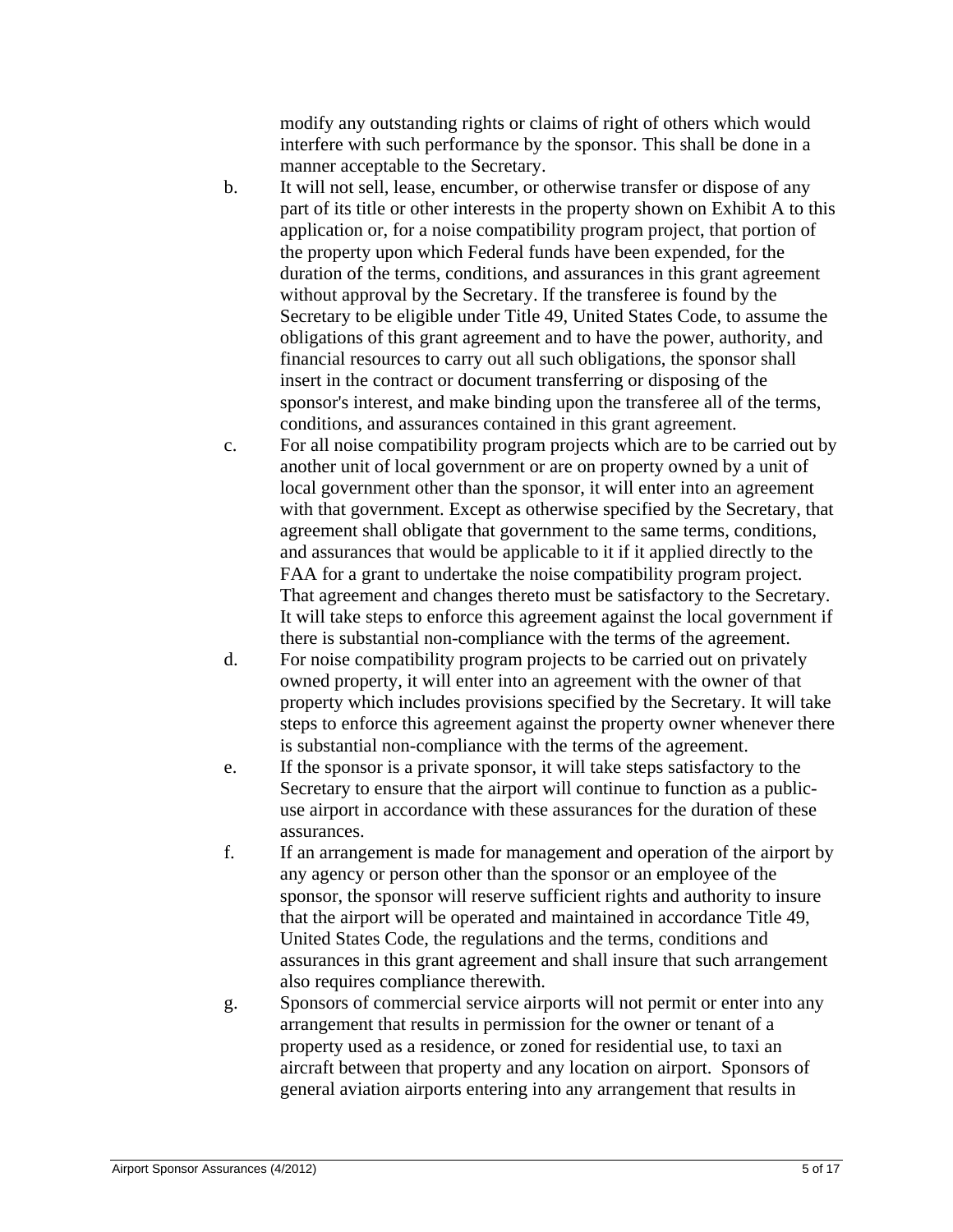modify any outstanding rights or claims of right of others which would interfere with such performance by the sponsor. This shall be done in a manner acceptable to the Secretary.

- b. It will not sell, lease, encumber, or otherwise transfer or dispose of any part of its title or other interests in the property shown on Exhibit A to this application or, for a noise compatibility program project, that portion of the property upon which Federal funds have been expended, for the duration of the terms, conditions, and assurances in this grant agreement without approval by the Secretary. If the transferee is found by the Secretary to be eligible under Title 49, United States Code, to assume the obligations of this grant agreement and to have the power, authority, and financial resources to carry out all such obligations, the sponsor shall insert in the contract or document transferring or disposing of the sponsor's interest, and make binding upon the transferee all of the terms, conditions, and assurances contained in this grant agreement.
- c. For all noise compatibility program projects which are to be carried out by another unit of local government or are on property owned by a unit of local government other than the sponsor, it will enter into an agreement with that government. Except as otherwise specified by the Secretary, that agreement shall obligate that government to the same terms, conditions, and assurances that would be applicable to it if it applied directly to the FAA for a grant to undertake the noise compatibility program project. That agreement and changes thereto must be satisfactory to the Secretary. It will take steps to enforce this agreement against the local government if there is substantial non-compliance with the terms of the agreement.
- d. For noise compatibility program projects to be carried out on privately owned property, it will enter into an agreement with the owner of that property which includes provisions specified by the Secretary. It will take steps to enforce this agreement against the property owner whenever there is substantial non-compliance with the terms of the agreement.
- e. If the sponsor is a private sponsor, it will take steps satisfactory to the Secretary to ensure that the airport will continue to function as a publicuse airport in accordance with these assurances for the duration of these assurances.
- f. If an arrangement is made for management and operation of the airport by any agency or person other than the sponsor or an employee of the sponsor, the sponsor will reserve sufficient rights and authority to insure that the airport will be operated and maintained in accordance Title 49, United States Code, the regulations and the terms, conditions and assurances in this grant agreement and shall insure that such arrangement also requires compliance therewith.
- g. Sponsors of commercial service airports will not permit or enter into any arrangement that results in permission for the owner or tenant of a property used as a residence, or zoned for residential use, to taxi an aircraft between that property and any location on airport. Sponsors of general aviation airports entering into any arrangement that results in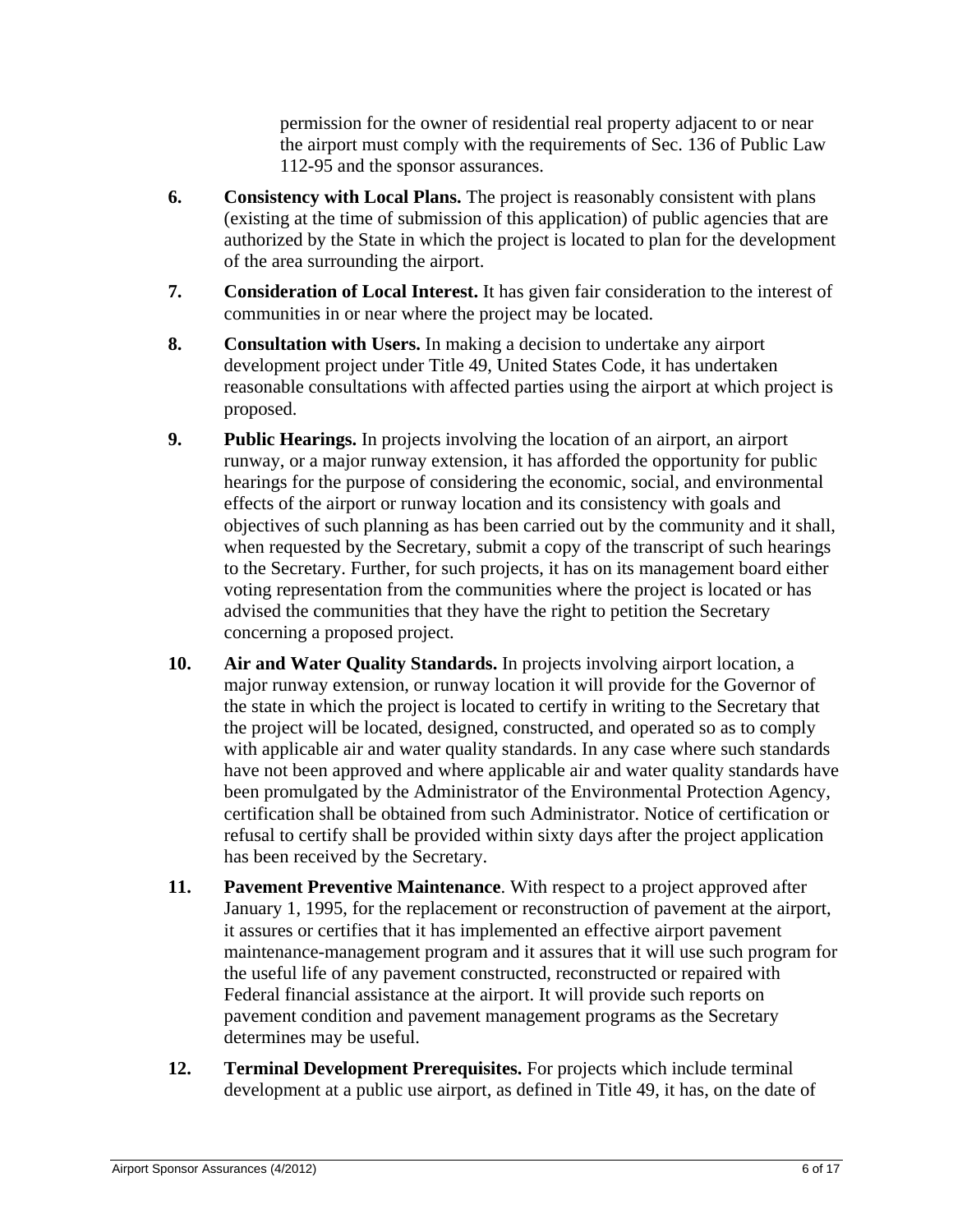permission for the owner of residential real property adjacent to or near the airport must comply with the requirements of Sec. 136 of Public Law 112-95 and the sponsor assurances.

- **6. Consistency with Local Plans.** The project is reasonably consistent with plans (existing at the time of submission of this application) of public agencies that are authorized by the State in which the project is located to plan for the development of the area surrounding the airport.
- **7. Consideration of Local Interest.** It has given fair consideration to the interest of communities in or near where the project may be located.
- **8. Consultation with Users.** In making a decision to undertake any airport development project under Title 49, United States Code, it has undertaken reasonable consultations with affected parties using the airport at which project is proposed.
- **9. Public Hearings.** In projects involving the location of an airport, an airport runway, or a major runway extension, it has afforded the opportunity for public hearings for the purpose of considering the economic, social, and environmental effects of the airport or runway location and its consistency with goals and objectives of such planning as has been carried out by the community and it shall, when requested by the Secretary, submit a copy of the transcript of such hearings to the Secretary. Further, for such projects, it has on its management board either voting representation from the communities where the project is located or has advised the communities that they have the right to petition the Secretary concerning a proposed project.
- **10. Air and Water Quality Standards.** In projects involving airport location, a major runway extension, or runway location it will provide for the Governor of the state in which the project is located to certify in writing to the Secretary that the project will be located, designed, constructed, and operated so as to comply with applicable air and water quality standards. In any case where such standards have not been approved and where applicable air and water quality standards have been promulgated by the Administrator of the Environmental Protection Agency, certification shall be obtained from such Administrator. Notice of certification or refusal to certify shall be provided within sixty days after the project application has been received by the Secretary.
- **11. Pavement Preventive Maintenance**. With respect to a project approved after January 1, 1995, for the replacement or reconstruction of pavement at the airport, it assures or certifies that it has implemented an effective airport pavement maintenance-management program and it assures that it will use such program for the useful life of any pavement constructed, reconstructed or repaired with Federal financial assistance at the airport. It will provide such reports on pavement condition and pavement management programs as the Secretary determines may be useful.
- **12. Terminal Development Prerequisites.** For projects which include terminal development at a public use airport, as defined in Title 49, it has, on the date of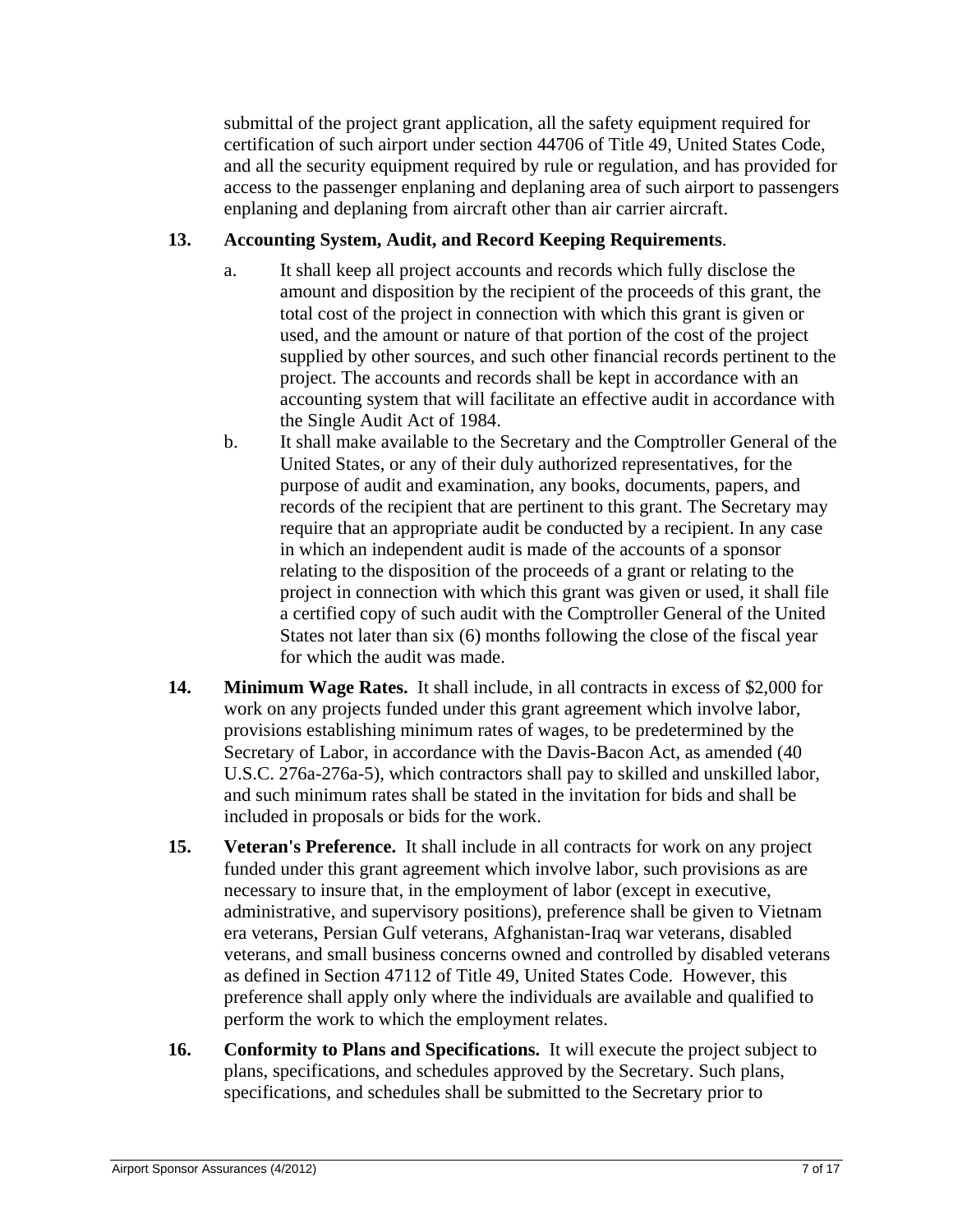submittal of the project grant application, all the safety equipment required for certification of such airport under section 44706 of Title 49, United States Code, and all the security equipment required by rule or regulation, and has provided for access to the passenger enplaning and deplaning area of such airport to passengers enplaning and deplaning from aircraft other than air carrier aircraft.

## **13. Accounting System, Audit, and Record Keeping Requirements**.

- a. It shall keep all project accounts and records which fully disclose the amount and disposition by the recipient of the proceeds of this grant, the total cost of the project in connection with which this grant is given or used, and the amount or nature of that portion of the cost of the project supplied by other sources, and such other financial records pertinent to the project. The accounts and records shall be kept in accordance with an accounting system that will facilitate an effective audit in accordance with the Single Audit Act of 1984.
- b. It shall make available to the Secretary and the Comptroller General of the United States, or any of their duly authorized representatives, for the purpose of audit and examination, any books, documents, papers, and records of the recipient that are pertinent to this grant. The Secretary may require that an appropriate audit be conducted by a recipient. In any case in which an independent audit is made of the accounts of a sponsor relating to the disposition of the proceeds of a grant or relating to the project in connection with which this grant was given or used, it shall file a certified copy of such audit with the Comptroller General of the United States not later than six (6) months following the close of the fiscal year for which the audit was made.
- **14. Minimum Wage Rates.** It shall include, in all contracts in excess of \$2,000 for work on any projects funded under this grant agreement which involve labor, provisions establishing minimum rates of wages, to be predetermined by the Secretary of Labor, in accordance with the Davis-Bacon Act, as amended (40 U.S.C. 276a-276a-5), which contractors shall pay to skilled and unskilled labor, and such minimum rates shall be stated in the invitation for bids and shall be included in proposals or bids for the work.
- **15. Veteran's Preference.** It shall include in all contracts for work on any project funded under this grant agreement which involve labor, such provisions as are necessary to insure that, in the employment of labor (except in executive, administrative, and supervisory positions), preference shall be given to Vietnam era veterans, Persian Gulf veterans, Afghanistan-Iraq war veterans, disabled veterans, and small business concerns owned and controlled by disabled veterans as defined in Section 47112 of Title 49, United States Code. However, this preference shall apply only where the individuals are available and qualified to perform the work to which the employment relates.
- **16. Conformity to Plans and Specifications.** It will execute the project subject to plans, specifications, and schedules approved by the Secretary. Such plans, specifications, and schedules shall be submitted to the Secretary prior to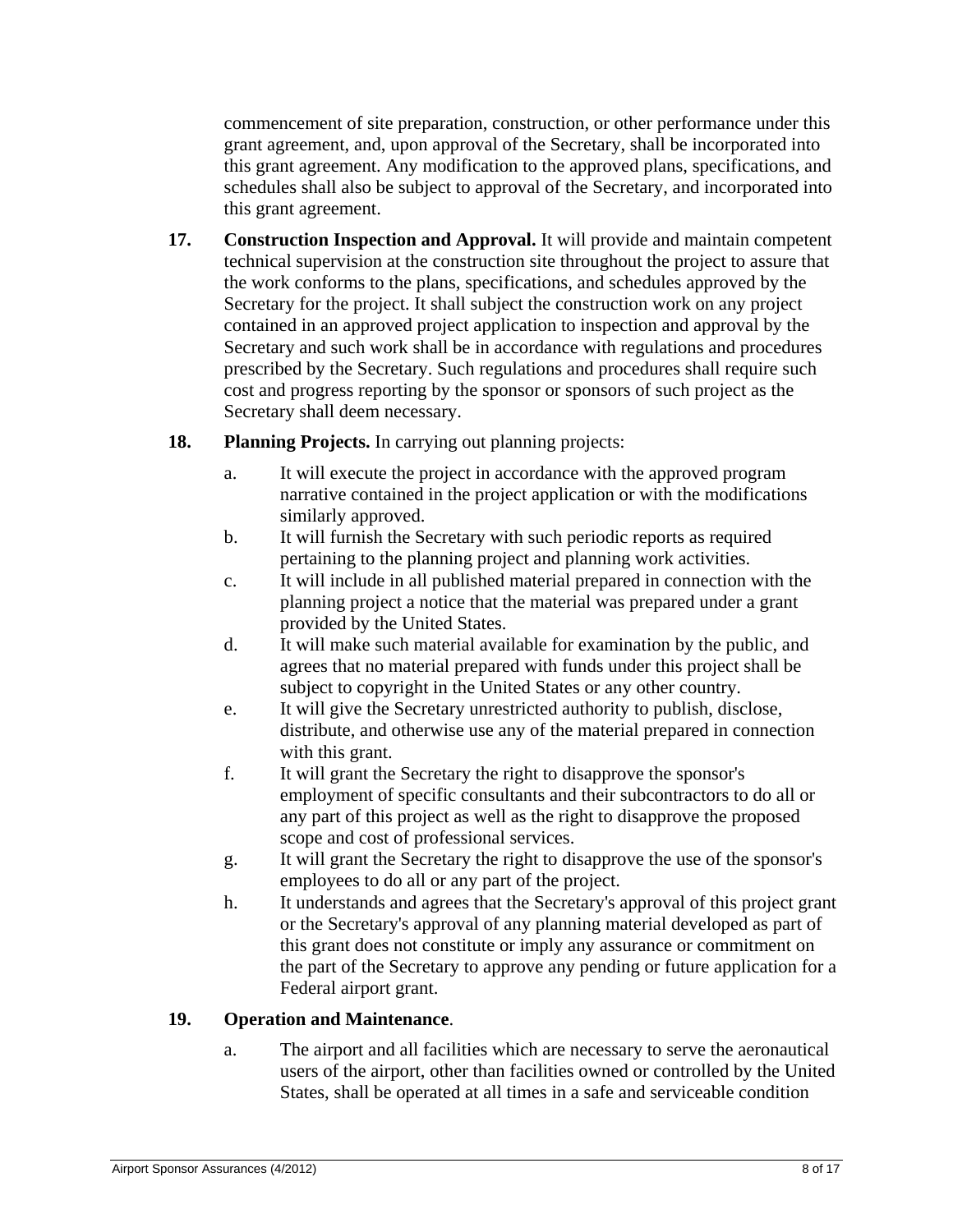commencement of site preparation, construction, or other performance under this grant agreement, and, upon approval of the Secretary, shall be incorporated into this grant agreement. Any modification to the approved plans, specifications, and schedules shall also be subject to approval of the Secretary, and incorporated into this grant agreement.

- **17. Construction Inspection and Approval.** It will provide and maintain competent technical supervision at the construction site throughout the project to assure that the work conforms to the plans, specifications, and schedules approved by the Secretary for the project. It shall subject the construction work on any project contained in an approved project application to inspection and approval by the Secretary and such work shall be in accordance with regulations and procedures prescribed by the Secretary. Such regulations and procedures shall require such cost and progress reporting by the sponsor or sponsors of such project as the Secretary shall deem necessary.
- **18. Planning Projects.** In carrying out planning projects:
	- a. It will execute the project in accordance with the approved program narrative contained in the project application or with the modifications similarly approved.
	- b. It will furnish the Secretary with such periodic reports as required pertaining to the planning project and planning work activities.
	- c. It will include in all published material prepared in connection with the planning project a notice that the material was prepared under a grant provided by the United States.
	- d. It will make such material available for examination by the public, and agrees that no material prepared with funds under this project shall be subject to copyright in the United States or any other country.
	- e. It will give the Secretary unrestricted authority to publish, disclose, distribute, and otherwise use any of the material prepared in connection with this grant.
	- f. It will grant the Secretary the right to disapprove the sponsor's employment of specific consultants and their subcontractors to do all or any part of this project as well as the right to disapprove the proposed scope and cost of professional services.
	- g. It will grant the Secretary the right to disapprove the use of the sponsor's employees to do all or any part of the project.
	- h. It understands and agrees that the Secretary's approval of this project grant or the Secretary's approval of any planning material developed as part of this grant does not constitute or imply any assurance or commitment on the part of the Secretary to approve any pending or future application for a Federal airport grant.

# **19. Operation and Maintenance**.

a. The airport and all facilities which are necessary to serve the aeronautical users of the airport, other than facilities owned or controlled by the United States, shall be operated at all times in a safe and serviceable condition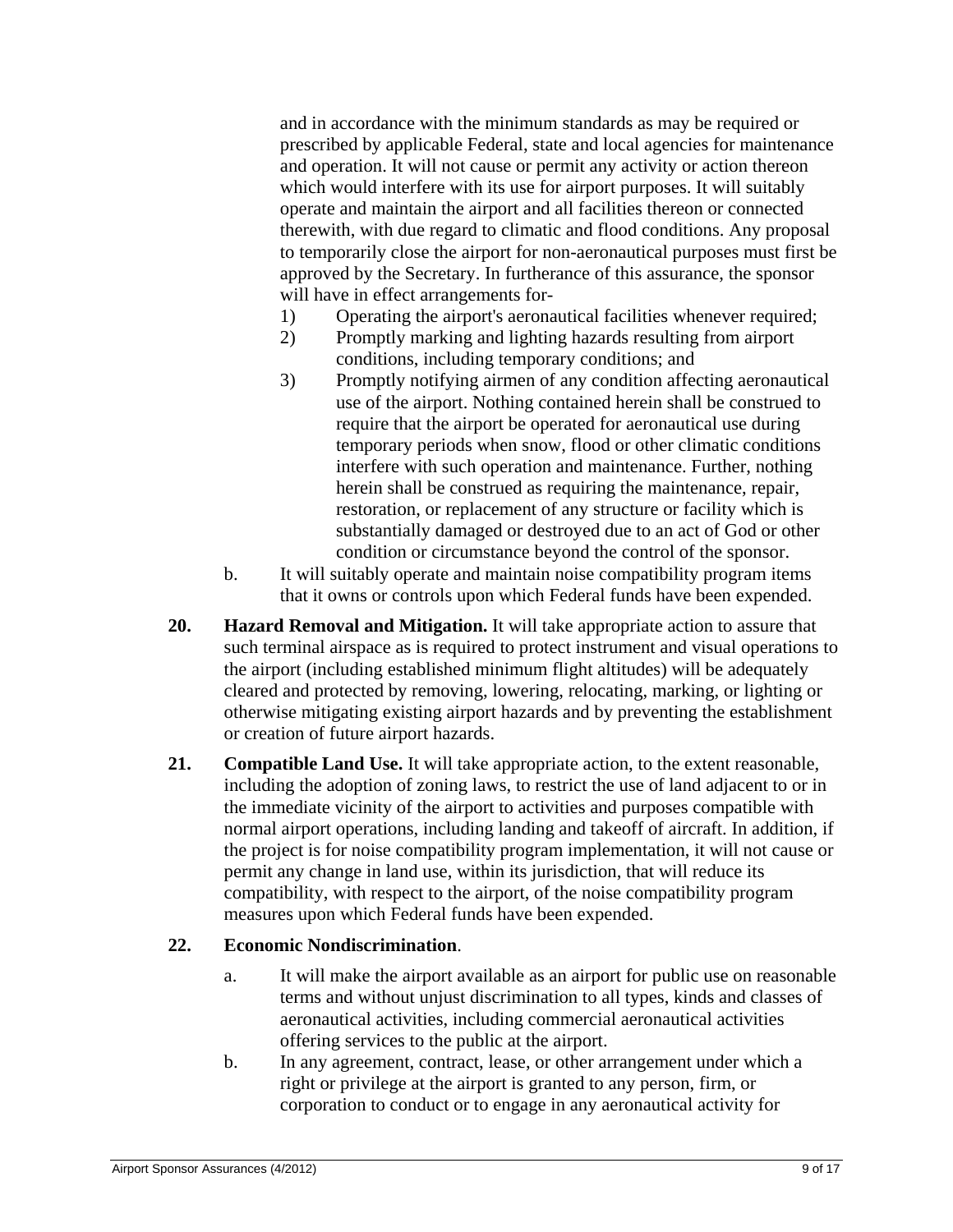and in accordance with the minimum standards as may be required or prescribed by applicable Federal, state and local agencies for maintenance and operation. It will not cause or permit any activity or action thereon which would interfere with its use for airport purposes. It will suitably operate and maintain the airport and all facilities thereon or connected therewith, with due regard to climatic and flood conditions. Any proposal to temporarily close the airport for non-aeronautical purposes must first be approved by the Secretary. In furtherance of this assurance, the sponsor will have in effect arrangements for-

- 1) Operating the airport's aeronautical facilities whenever required;
- 2) Promptly marking and lighting hazards resulting from airport conditions, including temporary conditions; and
- 3) Promptly notifying airmen of any condition affecting aeronautical use of the airport. Nothing contained herein shall be construed to require that the airport be operated for aeronautical use during temporary periods when snow, flood or other climatic conditions interfere with such operation and maintenance. Further, nothing herein shall be construed as requiring the maintenance, repair, restoration, or replacement of any structure or facility which is substantially damaged or destroyed due to an act of God or other condition or circumstance beyond the control of the sponsor.
- b. It will suitably operate and maintain noise compatibility program items that it owns or controls upon which Federal funds have been expended.
- **20. Hazard Removal and Mitigation.** It will take appropriate action to assure that such terminal airspace as is required to protect instrument and visual operations to the airport (including established minimum flight altitudes) will be adequately cleared and protected by removing, lowering, relocating, marking, or lighting or otherwise mitigating existing airport hazards and by preventing the establishment or creation of future airport hazards.
- **21. Compatible Land Use.** It will take appropriate action, to the extent reasonable, including the adoption of zoning laws, to restrict the use of land adjacent to or in the immediate vicinity of the airport to activities and purposes compatible with normal airport operations, including landing and takeoff of aircraft. In addition, if the project is for noise compatibility program implementation, it will not cause or permit any change in land use, within its jurisdiction, that will reduce its compatibility, with respect to the airport, of the noise compatibility program measures upon which Federal funds have been expended.

## **22. Economic Nondiscrimination**.

- a. It will make the airport available as an airport for public use on reasonable terms and without unjust discrimination to all types, kinds and classes of aeronautical activities, including commercial aeronautical activities offering services to the public at the airport.
- b. In any agreement, contract, lease, or other arrangement under which a right or privilege at the airport is granted to any person, firm, or corporation to conduct or to engage in any aeronautical activity for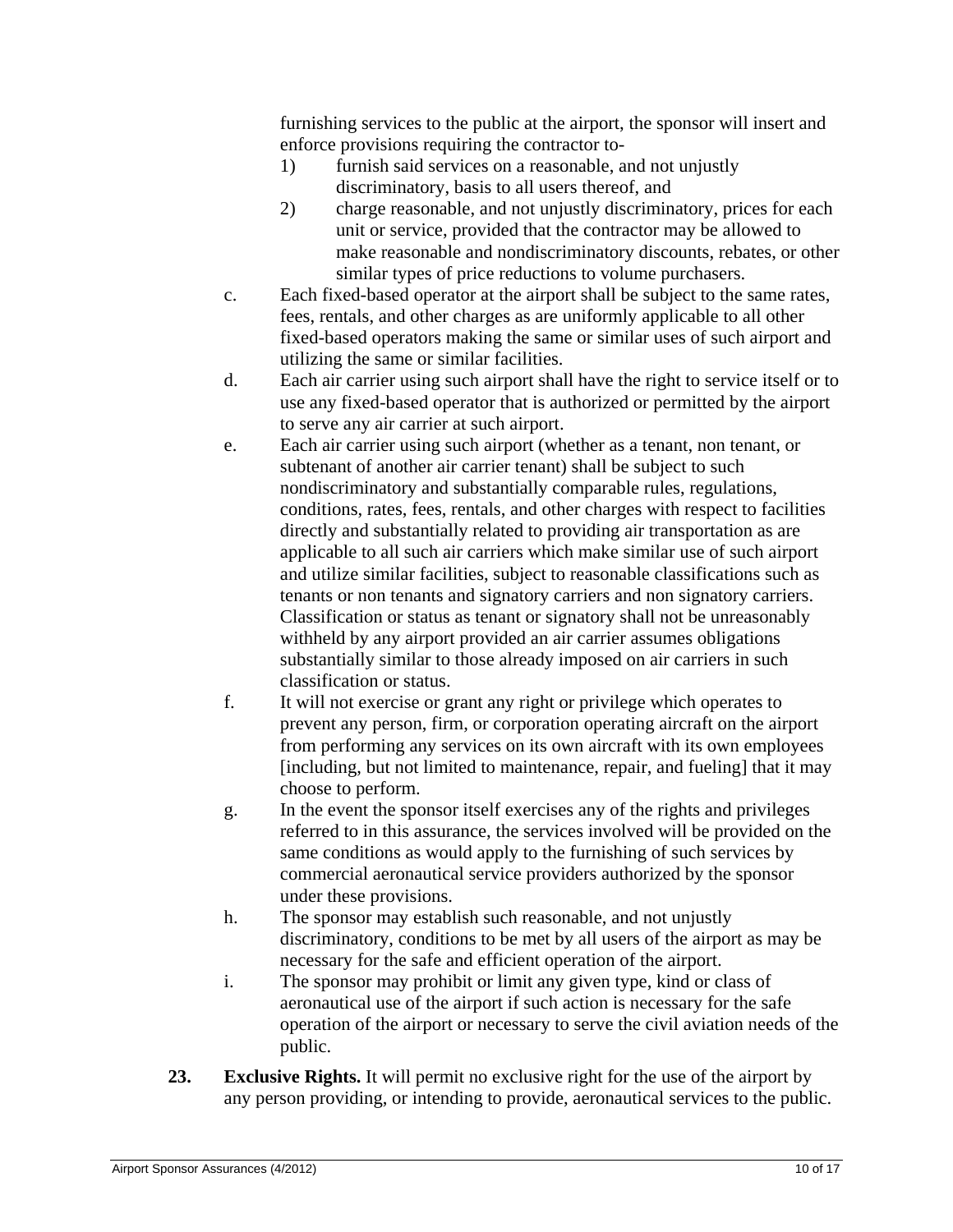furnishing services to the public at the airport, the sponsor will insert and enforce provisions requiring the contractor to-

- 1) furnish said services on a reasonable, and not unjustly discriminatory, basis to all users thereof, and
- 2) charge reasonable, and not unjustly discriminatory, prices for each unit or service, provided that the contractor may be allowed to make reasonable and nondiscriminatory discounts, rebates, or other similar types of price reductions to volume purchasers.
- c. Each fixed-based operator at the airport shall be subject to the same rates, fees, rentals, and other charges as are uniformly applicable to all other fixed-based operators making the same or similar uses of such airport and utilizing the same or similar facilities.
- d. Each air carrier using such airport shall have the right to service itself or to use any fixed-based operator that is authorized or permitted by the airport to serve any air carrier at such airport.
- e. Each air carrier using such airport (whether as a tenant, non tenant, or subtenant of another air carrier tenant) shall be subject to such nondiscriminatory and substantially comparable rules, regulations, conditions, rates, fees, rentals, and other charges with respect to facilities directly and substantially related to providing air transportation as are applicable to all such air carriers which make similar use of such airport and utilize similar facilities, subject to reasonable classifications such as tenants or non tenants and signatory carriers and non signatory carriers. Classification or status as tenant or signatory shall not be unreasonably withheld by any airport provided an air carrier assumes obligations substantially similar to those already imposed on air carriers in such classification or status.
- f. It will not exercise or grant any right or privilege which operates to prevent any person, firm, or corporation operating aircraft on the airport from performing any services on its own aircraft with its own employees [including, but not limited to maintenance, repair, and fueling] that it may choose to perform.
- g. In the event the sponsor itself exercises any of the rights and privileges referred to in this assurance, the services involved will be provided on the same conditions as would apply to the furnishing of such services by commercial aeronautical service providers authorized by the sponsor under these provisions.
- h. The sponsor may establish such reasonable, and not unjustly discriminatory, conditions to be met by all users of the airport as may be necessary for the safe and efficient operation of the airport.
- i. The sponsor may prohibit or limit any given type, kind or class of aeronautical use of the airport if such action is necessary for the safe operation of the airport or necessary to serve the civil aviation needs of the public.
- **23. Exclusive Rights.** It will permit no exclusive right for the use of the airport by any person providing, or intending to provide, aeronautical services to the public.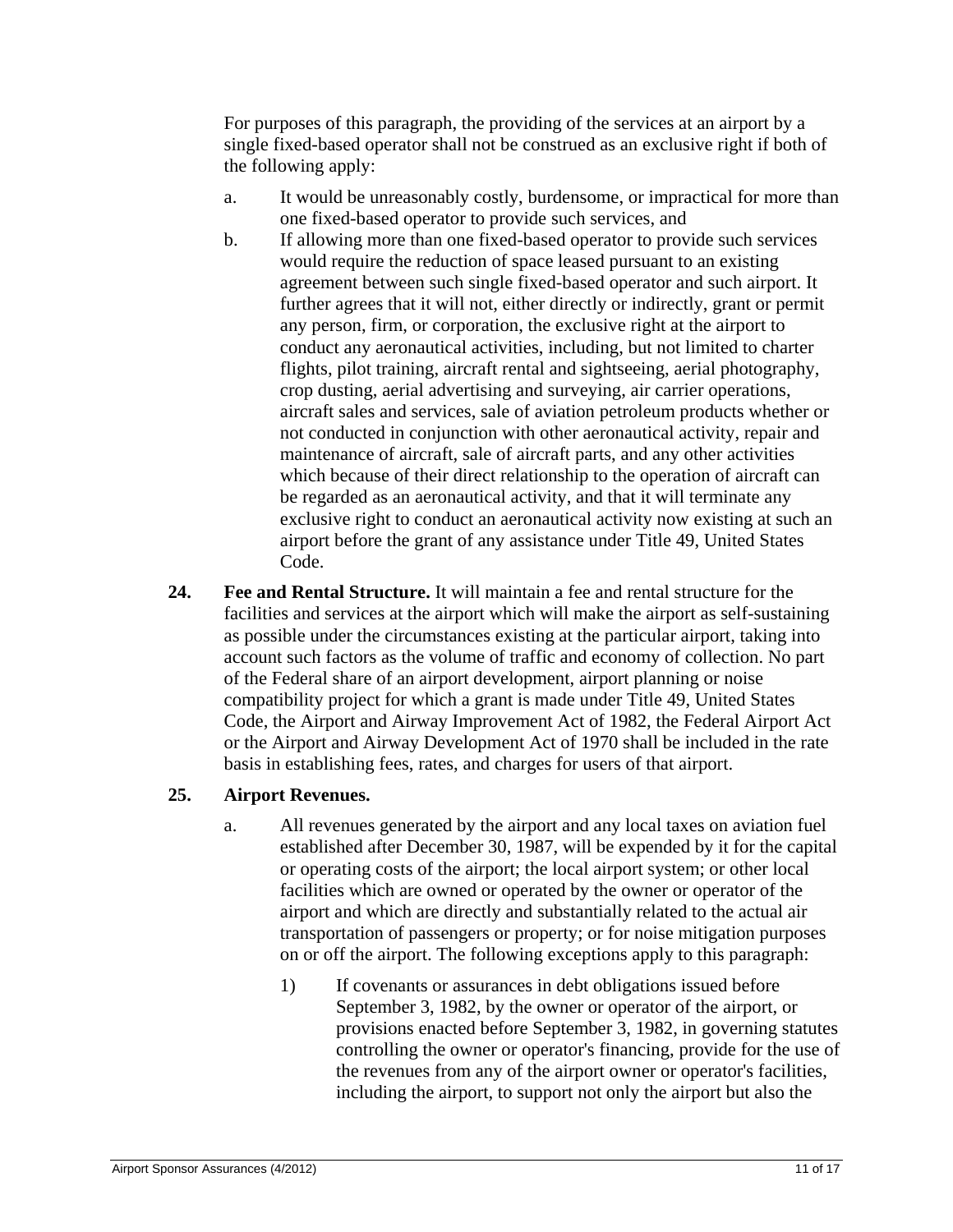For purposes of this paragraph, the providing of the services at an airport by a single fixed-based operator shall not be construed as an exclusive right if both of the following apply:

- a. It would be unreasonably costly, burdensome, or impractical for more than one fixed-based operator to provide such services, and
- b. If allowing more than one fixed-based operator to provide such services would require the reduction of space leased pursuant to an existing agreement between such single fixed-based operator and such airport. It further agrees that it will not, either directly or indirectly, grant or permit any person, firm, or corporation, the exclusive right at the airport to conduct any aeronautical activities, including, but not limited to charter flights, pilot training, aircraft rental and sightseeing, aerial photography, crop dusting, aerial advertising and surveying, air carrier operations, aircraft sales and services, sale of aviation petroleum products whether or not conducted in conjunction with other aeronautical activity, repair and maintenance of aircraft, sale of aircraft parts, and any other activities which because of their direct relationship to the operation of aircraft can be regarded as an aeronautical activity, and that it will terminate any exclusive right to conduct an aeronautical activity now existing at such an airport before the grant of any assistance under Title 49, United States Code.
- **24. Fee and Rental Structure.** It will maintain a fee and rental structure for the facilities and services at the airport which will make the airport as self-sustaining as possible under the circumstances existing at the particular airport, taking into account such factors as the volume of traffic and economy of collection. No part of the Federal share of an airport development, airport planning or noise compatibility project for which a grant is made under Title 49, United States Code, the Airport and Airway Improvement Act of 1982, the Federal Airport Act or the Airport and Airway Development Act of 1970 shall be included in the rate basis in establishing fees, rates, and charges for users of that airport.

### **25. Airport Revenues.**

- a. All revenues generated by the airport and any local taxes on aviation fuel established after December 30, 1987, will be expended by it for the capital or operating costs of the airport; the local airport system; or other local facilities which are owned or operated by the owner or operator of the airport and which are directly and substantially related to the actual air transportation of passengers or property; or for noise mitigation purposes on or off the airport. The following exceptions apply to this paragraph:
	- 1) If covenants or assurances in debt obligations issued before September 3, 1982, by the owner or operator of the airport, or provisions enacted before September 3, 1982, in governing statutes controlling the owner or operator's financing, provide for the use of the revenues from any of the airport owner or operator's facilities, including the airport, to support not only the airport but also the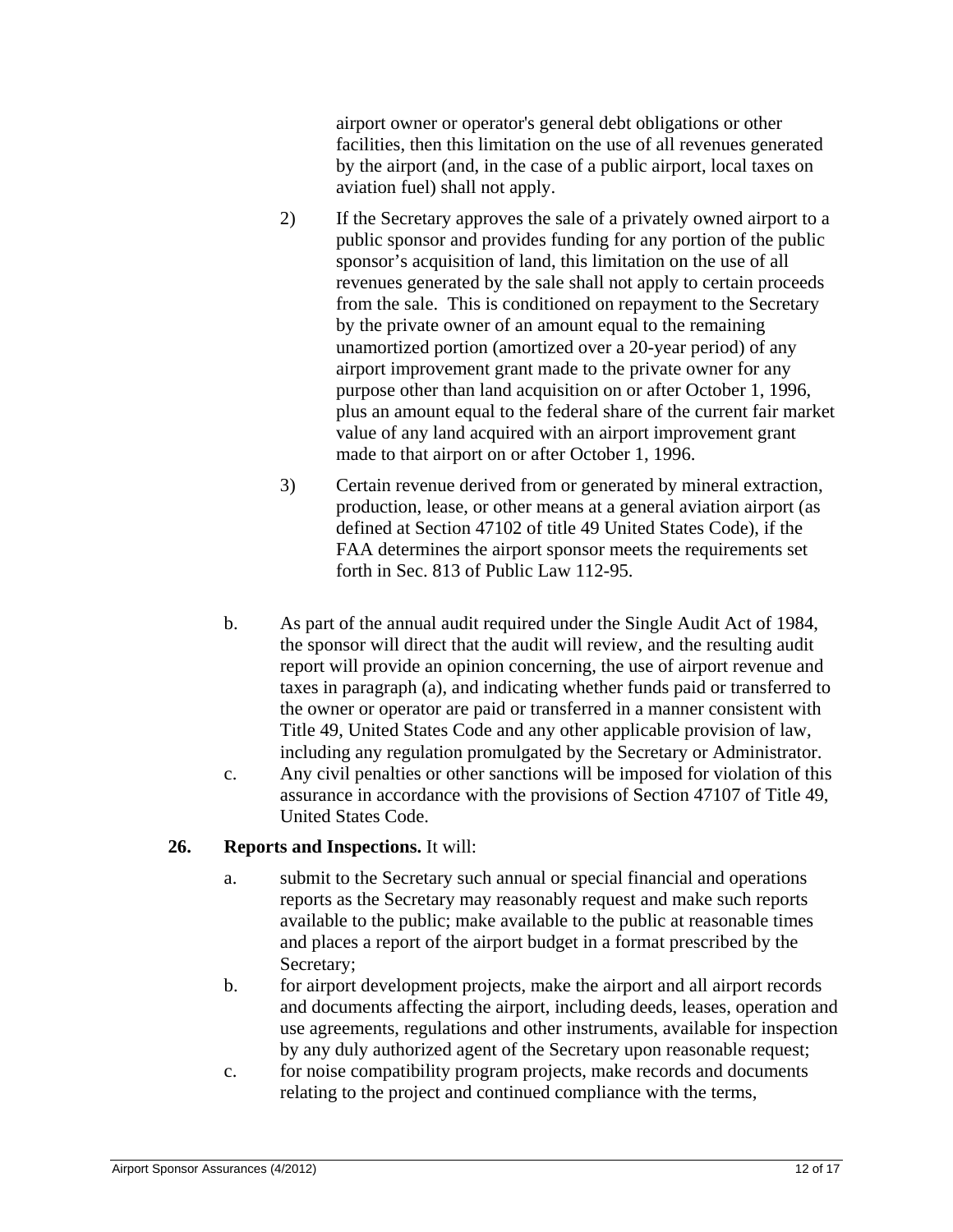airport owner or operator's general debt obligations or other facilities, then this limitation on the use of all revenues generated by the airport (and, in the case of a public airport, local taxes on aviation fuel) shall not apply.

- 2) If the Secretary approves the sale of a privately owned airport to a public sponsor and provides funding for any portion of the public sponsor's acquisition of land, this limitation on the use of all revenues generated by the sale shall not apply to certain proceeds from the sale. This is conditioned on repayment to the Secretary by the private owner of an amount equal to the remaining unamortized portion (amortized over a 20-year period) of any airport improvement grant made to the private owner for any purpose other than land acquisition on or after October 1, 1996, plus an amount equal to the federal share of the current fair market value of any land acquired with an airport improvement grant made to that airport on or after October 1, 1996.
- 3) Certain revenue derived from or generated by mineral extraction, production, lease, or other means at a general aviation airport (as defined at Section 47102 of title 49 United States Code), if the FAA determines the airport sponsor meets the requirements set forth in Sec. 813 of Public Law 112-95.
- b. As part of the annual audit required under the Single Audit Act of 1984, the sponsor will direct that the audit will review, and the resulting audit report will provide an opinion concerning, the use of airport revenue and taxes in paragraph (a), and indicating whether funds paid or transferred to the owner or operator are paid or transferred in a manner consistent with Title 49, United States Code and any other applicable provision of law, including any regulation promulgated by the Secretary or Administrator.
- c. Any civil penalties or other sanctions will be imposed for violation of this assurance in accordance with the provisions of Section 47107 of Title 49, United States Code.

### **26. Reports and Inspections.** It will:

- a. submit to the Secretary such annual or special financial and operations reports as the Secretary may reasonably request and make such reports available to the public; make available to the public at reasonable times and places a report of the airport budget in a format prescribed by the Secretary;
- b. for airport development projects, make the airport and all airport records and documents affecting the airport, including deeds, leases, operation and use agreements, regulations and other instruments, available for inspection by any duly authorized agent of the Secretary upon reasonable request;
- c. for noise compatibility program projects, make records and documents relating to the project and continued compliance with the terms,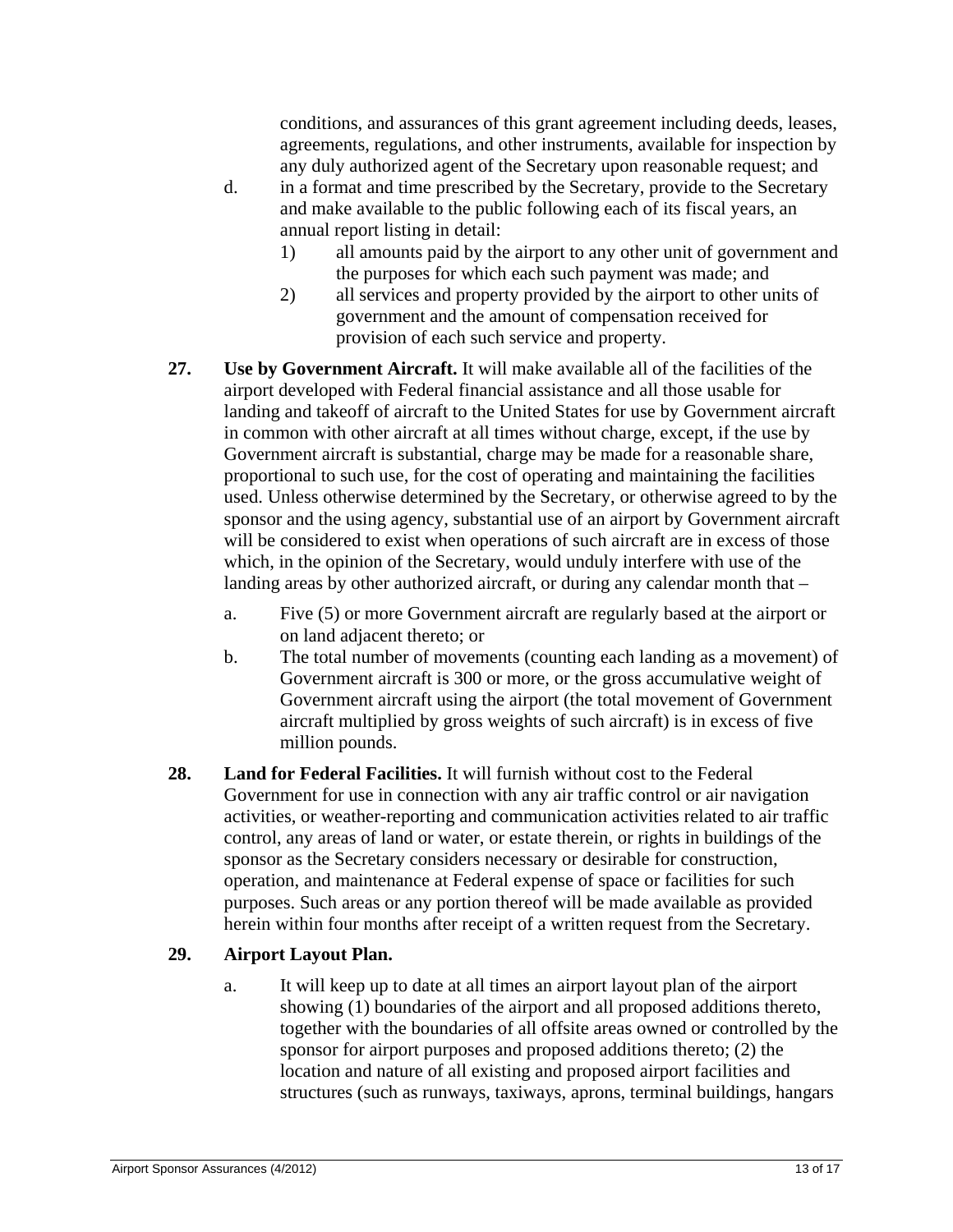conditions, and assurances of this grant agreement including deeds, leases, agreements, regulations, and other instruments, available for inspection by any duly authorized agent of the Secretary upon reasonable request; and

- d. in a format and time prescribed by the Secretary, provide to the Secretary and make available to the public following each of its fiscal years, an annual report listing in detail:
	- 1) all amounts paid by the airport to any other unit of government and the purposes for which each such payment was made; and
	- 2) all services and property provided by the airport to other units of government and the amount of compensation received for provision of each such service and property.
- **27. Use by Government Aircraft.** It will make available all of the facilities of the airport developed with Federal financial assistance and all those usable for landing and takeoff of aircraft to the United States for use by Government aircraft in common with other aircraft at all times without charge, except, if the use by Government aircraft is substantial, charge may be made for a reasonable share, proportional to such use, for the cost of operating and maintaining the facilities used. Unless otherwise determined by the Secretary, or otherwise agreed to by the sponsor and the using agency, substantial use of an airport by Government aircraft will be considered to exist when operations of such aircraft are in excess of those which, in the opinion of the Secretary, would unduly interfere with use of the landing areas by other authorized aircraft, or during any calendar month that –
	- a. Five (5) or more Government aircraft are regularly based at the airport or on land adjacent thereto; or
	- b. The total number of movements (counting each landing as a movement) of Government aircraft is 300 or more, or the gross accumulative weight of Government aircraft using the airport (the total movement of Government aircraft multiplied by gross weights of such aircraft) is in excess of five million pounds.
- **28. Land for Federal Facilities.** It will furnish without cost to the Federal Government for use in connection with any air traffic control or air navigation activities, or weather-reporting and communication activities related to air traffic control, any areas of land or water, or estate therein, or rights in buildings of the sponsor as the Secretary considers necessary or desirable for construction, operation, and maintenance at Federal expense of space or facilities for such purposes. Such areas or any portion thereof will be made available as provided herein within four months after receipt of a written request from the Secretary.

# **29. Airport Layout Plan.**

a. It will keep up to date at all times an airport layout plan of the airport showing (1) boundaries of the airport and all proposed additions thereto, together with the boundaries of all offsite areas owned or controlled by the sponsor for airport purposes and proposed additions thereto; (2) the location and nature of all existing and proposed airport facilities and structures (such as runways, taxiways, aprons, terminal buildings, hangars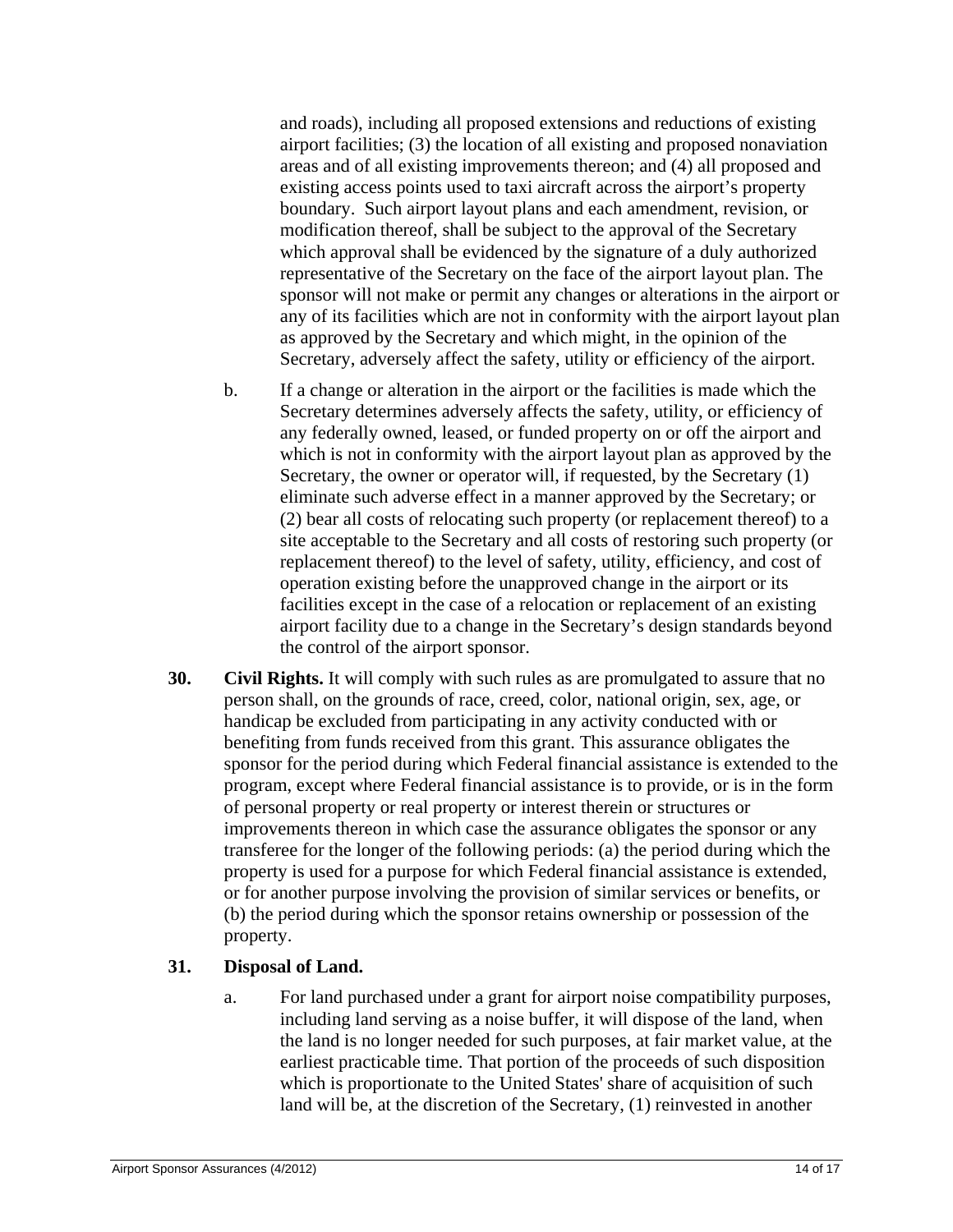and roads), including all proposed extensions and reductions of existing airport facilities; (3) the location of all existing and proposed nonaviation areas and of all existing improvements thereon; and (4) all proposed and existing access points used to taxi aircraft across the airport's property boundary. Such airport layout plans and each amendment, revision, or modification thereof, shall be subject to the approval of the Secretary which approval shall be evidenced by the signature of a duly authorized representative of the Secretary on the face of the airport layout plan. The sponsor will not make or permit any changes or alterations in the airport or any of its facilities which are not in conformity with the airport layout plan as approved by the Secretary and which might, in the opinion of the Secretary, adversely affect the safety, utility or efficiency of the airport.

- b. If a change or alteration in the airport or the facilities is made which the Secretary determines adversely affects the safety, utility, or efficiency of any federally owned, leased, or funded property on or off the airport and which is not in conformity with the airport layout plan as approved by the Secretary, the owner or operator will, if requested, by the Secretary (1) eliminate such adverse effect in a manner approved by the Secretary; or (2) bear all costs of relocating such property (or replacement thereof) to a site acceptable to the Secretary and all costs of restoring such property (or replacement thereof) to the level of safety, utility, efficiency, and cost of operation existing before the unapproved change in the airport or its facilities except in the case of a relocation or replacement of an existing airport facility due to a change in the Secretary's design standards beyond the control of the airport sponsor.
- **30. Civil Rights.** It will comply with such rules as are promulgated to assure that no person shall, on the grounds of race, creed, color, national origin, sex, age, or handicap be excluded from participating in any activity conducted with or benefiting from funds received from this grant. This assurance obligates the sponsor for the period during which Federal financial assistance is extended to the program, except where Federal financial assistance is to provide, or is in the form of personal property or real property or interest therein or structures or improvements thereon in which case the assurance obligates the sponsor or any transferee for the longer of the following periods: (a) the period during which the property is used for a purpose for which Federal financial assistance is extended, or for another purpose involving the provision of similar services or benefits, or (b) the period during which the sponsor retains ownership or possession of the property.

# **31. Disposal of Land.**

a. For land purchased under a grant for airport noise compatibility purposes, including land serving as a noise buffer, it will dispose of the land, when the land is no longer needed for such purposes, at fair market value, at the earliest practicable time. That portion of the proceeds of such disposition which is proportionate to the United States' share of acquisition of such land will be, at the discretion of the Secretary, (1) reinvested in another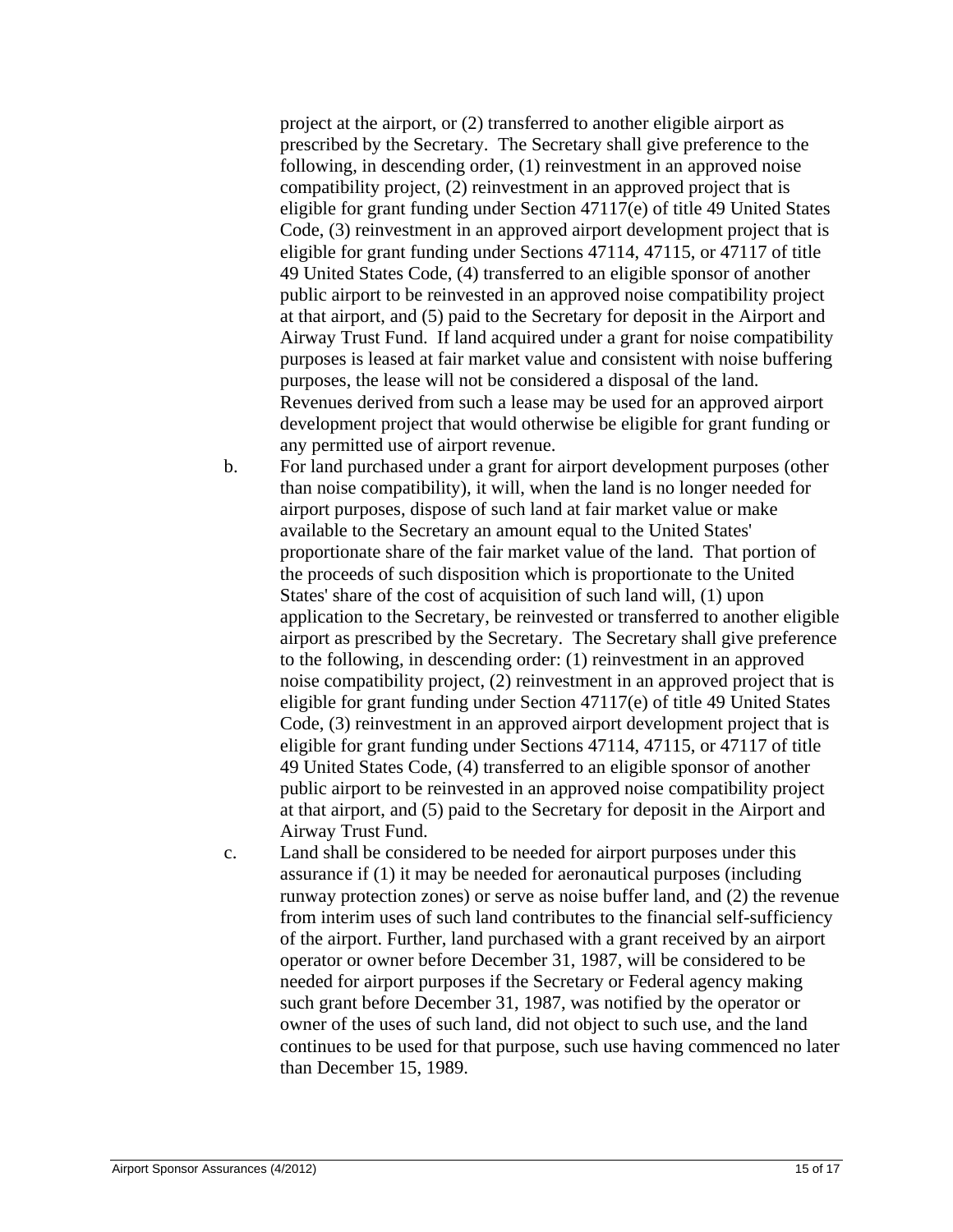project at the airport, or (2) transferred to another eligible airport as prescribed by the Secretary. The Secretary shall give preference to the following, in descending order, (1) reinvestment in an approved noise compatibility project, (2) reinvestment in an approved project that is eligible for grant funding under Section 47117(e) of title 49 United States Code, (3) reinvestment in an approved airport development project that is eligible for grant funding under Sections 47114, 47115, or 47117 of title 49 United States Code, (4) transferred to an eligible sponsor of another public airport to be reinvested in an approved noise compatibility project at that airport, and (5) paid to the Secretary for deposit in the Airport and Airway Trust Fund. If land acquired under a grant for noise compatibility purposes is leased at fair market value and consistent with noise buffering purposes, the lease will not be considered a disposal of the land. Revenues derived from such a lease may be used for an approved airport development project that would otherwise be eligible for grant funding or any permitted use of airport revenue.

- b. For land purchased under a grant for airport development purposes (other than noise compatibility), it will, when the land is no longer needed for airport purposes, dispose of such land at fair market value or make available to the Secretary an amount equal to the United States' proportionate share of the fair market value of the land. That portion of the proceeds of such disposition which is proportionate to the United States' share of the cost of acquisition of such land will, (1) upon application to the Secretary, be reinvested or transferred to another eligible airport as prescribed by the Secretary. The Secretary shall give preference to the following, in descending order: (1) reinvestment in an approved noise compatibility project, (2) reinvestment in an approved project that is eligible for grant funding under Section 47117(e) of title 49 United States Code, (3) reinvestment in an approved airport development project that is eligible for grant funding under Sections 47114, 47115, or 47117 of title 49 United States Code, (4) transferred to an eligible sponsor of another public airport to be reinvested in an approved noise compatibility project at that airport, and (5) paid to the Secretary for deposit in the Airport and Airway Trust Fund.
- c. Land shall be considered to be needed for airport purposes under this assurance if (1) it may be needed for aeronautical purposes (including runway protection zones) or serve as noise buffer land, and (2) the revenue from interim uses of such land contributes to the financial self-sufficiency of the airport. Further, land purchased with a grant received by an airport operator or owner before December 31, 1987, will be considered to be needed for airport purposes if the Secretary or Federal agency making such grant before December 31, 1987, was notified by the operator or owner of the uses of such land, did not object to such use, and the land continues to be used for that purpose, such use having commenced no later than December 15, 1989.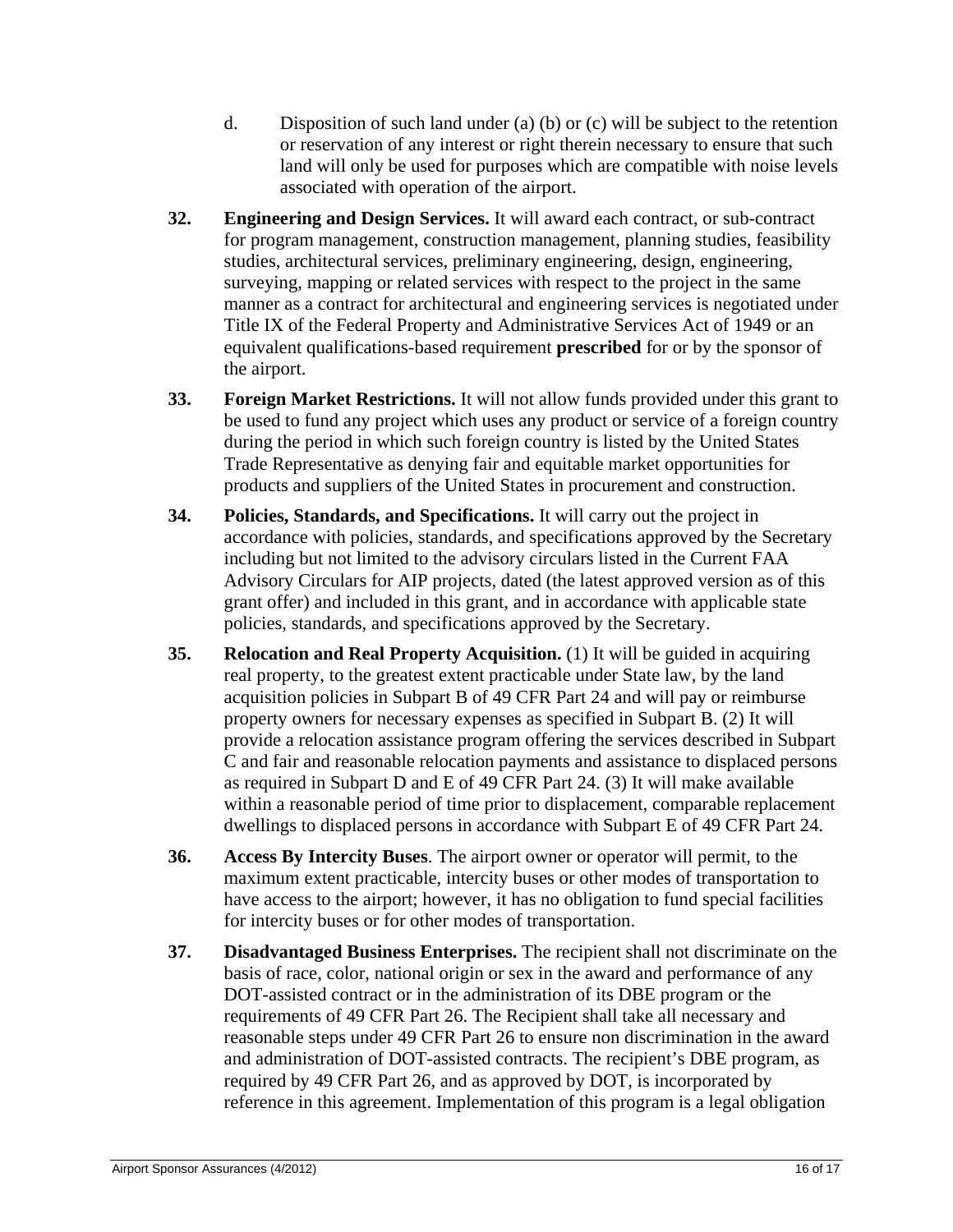- d. Disposition of such land under (a) (b) or (c) will be subject to the retention or reservation of any interest or right therein necessary to ensure that such land will only be used for purposes which are compatible with noise levels associated with operation of the airport.
- **32. Engineering and Design Services.** It will award each contract, or sub-contract for program management, construction management, planning studies, feasibility studies, architectural services, preliminary engineering, design, engineering, surveying, mapping or related services with respect to the project in the same manner as a contract for architectural and engineering services is negotiated under Title IX of the Federal Property and Administrative Services Act of 1949 or an equivalent qualifications-based requirement **prescribed** for or by the sponsor of the airport.
- **33. Foreign Market Restrictions.** It will not allow funds provided under this grant to be used to fund any project which uses any product or service of a foreign country during the period in which such foreign country is listed by the United States Trade Representative as denying fair and equitable market opportunities for products and suppliers of the United States in procurement and construction.
- **34. Policies, Standards, and Specifications.** It will carry out the project in accordance with policies, standards, and specifications approved by the Secretary including but not limited to the advisory circulars listed in the Current FAA Advisory Circulars for AIP projects, dated (the latest approved version as of this grant offer) and included in this grant, and in accordance with applicable state policies, standards, and specifications approved by the Secretary.
- **35. Relocation and Real Property Acquisition.** (1) It will be guided in acquiring real property, to the greatest extent practicable under State law, by the land acquisition policies in Subpart B of 49 CFR Part 24 and will pay or reimburse property owners for necessary expenses as specified in Subpart B. (2) It will provide a relocation assistance program offering the services described in Subpart C and fair and reasonable relocation payments and assistance to displaced persons as required in Subpart D and E of 49 CFR Part 24. (3) It will make available within a reasonable period of time prior to displacement, comparable replacement dwellings to displaced persons in accordance with Subpart E of 49 CFR Part 24.
- **36. Access By Intercity Buses**. The airport owner or operator will permit, to the maximum extent practicable, intercity buses or other modes of transportation to have access to the airport; however, it has no obligation to fund special facilities for intercity buses or for other modes of transportation.
- **37. Disadvantaged Business Enterprises.** The recipient shall not discriminate on the basis of race, color, national origin or sex in the award and performance of any DOT-assisted contract or in the administration of its DBE program or the requirements of 49 CFR Part 26. The Recipient shall take all necessary and reasonable steps under 49 CFR Part 26 to ensure non discrimination in the award and administration of DOT-assisted contracts. The recipient's DBE program, as required by 49 CFR Part 26, and as approved by DOT, is incorporated by reference in this agreement. Implementation of this program is a legal obligation